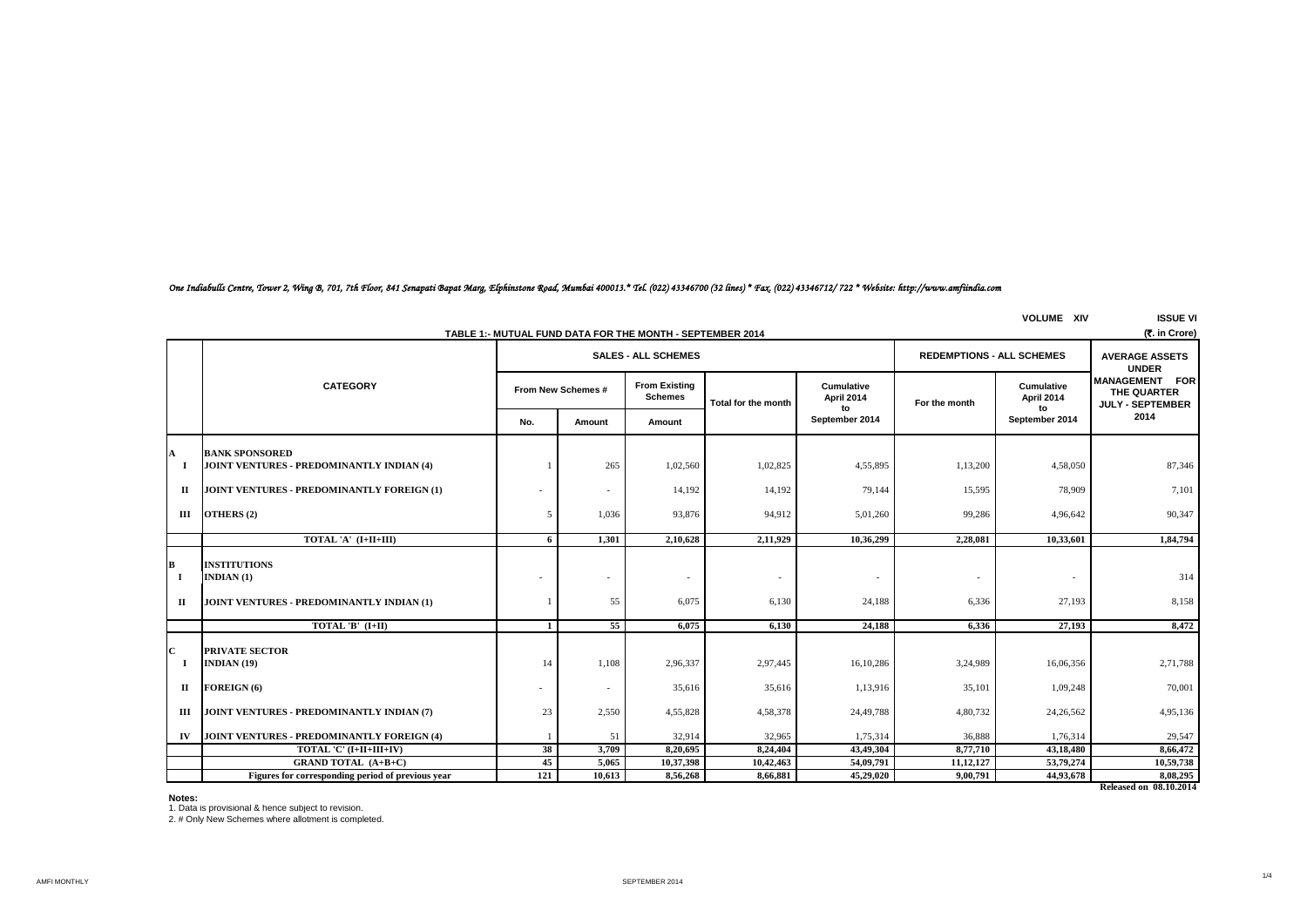# *One Indiabulls Centre, Tower 2, Wing B, 701, 7th Floor, 841 Senapati Bapat Marg, Elphinstone Road, Mumbai 400013.\* Tel. (022) 43346700 (32 lines) \* Fax. (022) 43346712/ 722 \* Website: http://www.amfiindia.com*

|                                                                            | <b>VOLUME XIV</b>                                 |              |                    |                            |                          |                                |                                  |                                | <b>ISSUE VI</b>                                                 |  |
|----------------------------------------------------------------------------|---------------------------------------------------|--------------|--------------------|----------------------------|--------------------------|--------------------------------|----------------------------------|--------------------------------|-----------------------------------------------------------------|--|
| (₹. in Crore)<br>TABLE 1:- MUTUAL FUND DATA FOR THE MONTH - SEPTEMBER 2014 |                                                   |              |                    |                            |                          |                                |                                  |                                |                                                                 |  |
|                                                                            |                                                   |              |                    | <b>SALES - ALL SCHEMES</b> |                          |                                | <b>REDEMPTIONS - ALL SCHEMES</b> |                                | <b>AVERAGE ASSETS</b><br><b>UNDER</b>                           |  |
|                                                                            | <b>CATEGORY</b>                                   |              | From New Schemes # |                            | Total for the month      | Cumulative<br>April 2014<br>to | For the month                    | Cumulative<br>April 2014<br>to | <b>MANAGEMENT FOR</b><br>THE QUARTER<br><b>JULY - SEPTEMBER</b> |  |
|                                                                            |                                                   | No.          | Amount             | Amount                     |                          | September 2014                 |                                  | September 2014                 | 2014                                                            |  |
| A                                                                          | <b>BANK SPONSORED</b>                             |              |                    |                            |                          |                                |                                  |                                |                                                                 |  |
| -1                                                                         | JOINT VENTURES - PREDOMINANTLY INDIAN (4)         |              | 265                | 1,02,560                   | 1,02,825                 | 4,55,895                       | 1,13,200                         | 4,58,050                       | 87,346                                                          |  |
| П                                                                          | JOINT VENTURES - PREDOMINANTLY FOREIGN (1)        |              | $\sim$             | 14,192                     | 14,192                   | 79,144                         | 15,595                           | 78,909                         | 7,101                                                           |  |
| Ш                                                                          | OTHERS (2)                                        | $\sim$       | 1,036              | 93,876                     | 94,912                   | 5,01,260                       | 99,286                           | 4,96,642                       | 90,347                                                          |  |
|                                                                            | TOTAL 'A' (I+II+III)                              | 6            | 1.301              | 2,10,628                   | 2,11,929                 | 10,36,299                      | 2,28,081                         | 10,33,601                      | 1,84,794                                                        |  |
| B<br>$\bf{I}$                                                              | <b>INSTITUTIONS</b><br>INDIAN $(1)$               |              |                    | $\sim$                     | $\overline{\phantom{a}}$ | $\sim$                         |                                  | $\overline{\phantom{a}}$       | 314                                                             |  |
| п                                                                          | JOINT VENTURES - PREDOMINANTLY INDIAN (1)         |              | 55                 | 6.075                      | 6,130                    | 24,188                         | 6.336                            | 27,193                         | 8,158                                                           |  |
|                                                                            | TOTAL 'B' $(I+II)$                                | $\mathbf{1}$ | $\overline{55}$    | 6,075                      | 6,130                    | 24,188                         | 6,336                            | 27,193                         | 8,472                                                           |  |
| $\mathbf C$<br>-1                                                          | <b>PRIVATE SECTOR</b><br>INDIAN $(19)$            | 14           | 1,108              | 2,96,337                   | 2,97,445                 | 16,10,286                      | 3,24,989                         | 16,06,356                      | 2,71,788                                                        |  |
| П                                                                          | FOREIGN (6)                                       |              | $\sim$             | 35,616                     | 35,616                   | 1,13,916                       | 35,101                           | 1,09,248                       | 70,001                                                          |  |
| Ш                                                                          | JOINT VENTURES - PREDOMINANTLY INDIAN (7)         | 23           | 2,550              | 4,55,828                   | 4,58,378                 | 24,49,788                      | 4,80,732                         | 24,26,562                      | 4,95,136                                                        |  |
| IV                                                                         | JOINT VENTURES - PREDOMINANTLY FOREIGN (4)        |              | 51                 | 32,914                     | 32,965                   | 1,75,314                       | 36,888                           | 1,76,314                       | 29,547                                                          |  |
|                                                                            | TOTAL 'C' (I+II+III+IV)                           | 38           | 3,709              | 8,20,695                   | 8,24,404                 | 43,49,304                      | 8,77,710                         | 43,18,480                      | 8,66,472                                                        |  |
|                                                                            | <b>GRAND TOTAL (A+B+C)</b>                        | 45           | 5,065              | 10,37,398                  | 10,42,463                | 54,09,791                      | 11, 12, 127                      | 53,79,274                      | 10,59,738                                                       |  |
|                                                                            | Figures for corresponding period of previous year | 121          | 10,613             | 8,56,268                   | 8,66,881                 | 45,29,020                      | 9,00,791                         | 44,93,678                      | 8,08,295                                                        |  |
|                                                                            |                                                   |              |                    |                            |                          |                                |                                  |                                | Released on 08.10.2014                                          |  |

**Notes:**

1. Data is provisional & hence subject to revision. 2. # Only New Schemes where allotment is completed.

1/4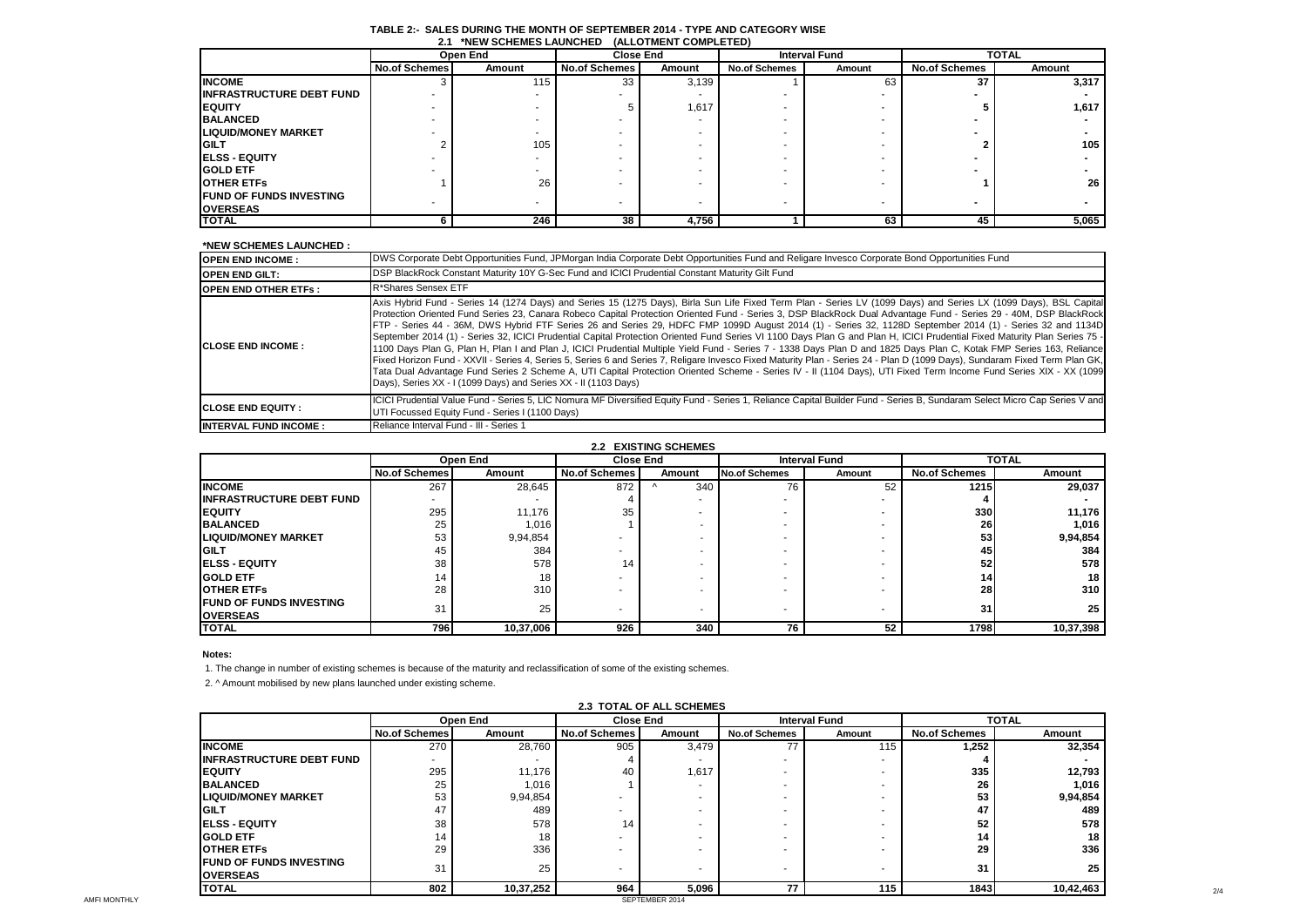|                                  | Open End             |        | <b>Close End</b>     |        |                      | <b>Interval Fund</b> | <b>TOTAL</b>         |        |
|----------------------------------|----------------------|--------|----------------------|--------|----------------------|----------------------|----------------------|--------|
|                                  | <b>No.of Schemes</b> | Amount | <b>No.of Schemes</b> | Amount | <b>No.of Schemes</b> | Amount               | <b>No.of Schemes</b> | Amount |
| <b>INCOME</b>                    |                      | 115    | 33                   | 3,139  |                      | 63                   | 37                   | 3,317  |
| <b>IINFRASTRUCTURE DEBT FUND</b> |                      |        |                      |        |                      |                      |                      |        |
| <b>IEQUITY</b>                   |                      |        |                      | 1,617  |                      |                      |                      | 1,617  |
| <b>BALANCED</b>                  |                      |        |                      |        |                      |                      |                      |        |
| <b>LIQUID/MONEY MARKET</b>       |                      |        |                      |        |                      |                      |                      |        |
| <b>GILT</b>                      |                      | 105    |                      |        |                      |                      |                      | 105    |
| <b>IELSS - EQUITY</b>            |                      |        |                      |        |                      |                      |                      |        |
| <b>GOLD ETF</b>                  |                      |        |                      |        |                      |                      |                      |        |
| <b>OTHER ETFS</b>                |                      | 26     |                      |        |                      |                      |                      | 26     |
| <b>FUND OF FUNDS INVESTING</b>   |                      |        |                      |        |                      |                      |                      |        |
| <b>OVERSEAS</b>                  |                      |        |                      |        |                      |                      |                      |        |
| <b>TOTAL</b>                     |                      | 246    | 38                   | 4.756  |                      | 63                   | 45                   | 5,065  |

### **TABLE 2:- SALES DURING THE MONTH OF SEPTEMBER 2014 - TYPE AND CATEGORY WISE 2.1 \*NEW SCHEMES LAUNCHED (ALLOTMENT COMPLETED)**

#### **\*NEW SCHEMES LAUNCHED :**

| <b>OPEN END INCOME:</b>      | DWS Corporate Debt Opportunities Fund, JPMorgan India Corporate Debt Opportunities Fund and Religare Invesco Corporate Bond Opportunities Fund                                                                                                                                                                                                                                                                                                                                                                                                                                                                                                                                                                                                                                                                                                                                                                                                                                                                                                                                                                                                                                                                                                                                  |
|------------------------------|---------------------------------------------------------------------------------------------------------------------------------------------------------------------------------------------------------------------------------------------------------------------------------------------------------------------------------------------------------------------------------------------------------------------------------------------------------------------------------------------------------------------------------------------------------------------------------------------------------------------------------------------------------------------------------------------------------------------------------------------------------------------------------------------------------------------------------------------------------------------------------------------------------------------------------------------------------------------------------------------------------------------------------------------------------------------------------------------------------------------------------------------------------------------------------------------------------------------------------------------------------------------------------|
| <b>OPEN END GILT:</b>        | DSP BlackRock Constant Maturity 10Y G-Sec Fund and ICICI Prudential Constant Maturity Gilt Fund                                                                                                                                                                                                                                                                                                                                                                                                                                                                                                                                                                                                                                                                                                                                                                                                                                                                                                                                                                                                                                                                                                                                                                                 |
| <b>OPEN END OTHER ETFS:</b>  | R*Shares Sensex ETF                                                                                                                                                                                                                                                                                                                                                                                                                                                                                                                                                                                                                                                                                                                                                                                                                                                                                                                                                                                                                                                                                                                                                                                                                                                             |
| <b>ICLOSE END INCOME:</b>    | Axis Hybrid Fund - Series 14 (1274 Days) and Series 15 (1275 Days), Birla Sun Life Fixed Term Plan - Series LV (1099 Days) and Series LX (1099 Days), BSL Capital<br>Protection Oriented Fund Series 23, Canara Robeco Capital Protection Oriented Fund - Series 3, DSP BlackRock Dual Advantage Fund - Series 29 - 40M, DSP BlackRock<br>FTP - Series 44 - 36M, DWS Hybrid FTF Series 26 and Series 29, HDFC FMP 1099D August 2014 (1) - Series 32, 1128D September 2014 (1) - Series 32 and 1134D<br>September 2014 (1) - Series 32, ICICI Prudential Capital Protection Oriented Fund Series VI 1100 Days Plan G and Plan H, ICICI Prudential Fixed Maturity Plan Series 75 -<br>1100 Days Plan G, Plan H, Plan I and Plan J, ICICI Prudential Multiple Yield Fund - Series 7 - 1338 Days Plan D and 1825 Days Plan C, Kotak FMP Series 163, Reliance<br>Fixed Horizon Fund - XXVII - Series 4, Series 5, Series 6 and Series 7, Religare Invesco Fixed Maturity Plan - Series 24 - Plan D (1099 Days), Sundaram Fixed Term Plan GK,<br>Tata Dual Advantage Fund Series 2 Scheme A, UTI Capital Protection Oriented Scheme - Series IV - II (1104 Days), UTI Fixed Term Income Fund Series XIX - XX (1099<br>Days), Series XX - I (1099 Days) and Series XX - II (1103 Days) |
| <b>ICLOSE END EQUITY:</b>    | ICICI Prudential Value Fund - Series 5, LIC Nomura MF Diversified Equity Fund - Series 1, Reliance Capital Builder Fund - Series B, Sundaram Select Micro Cap Series V and<br>UTI Focussed Equity Fund - Series I (1100 Days)                                                                                                                                                                                                                                                                                                                                                                                                                                                                                                                                                                                                                                                                                                                                                                                                                                                                                                                                                                                                                                                   |
| <b>INTERVAL FUND INCOME:</b> | Reliance Interval Fund - III - Series 1                                                                                                                                                                                                                                                                                                                                                                                                                                                                                                                                                                                                                                                                                                                                                                                                                                                                                                                                                                                                                                                                                                                                                                                                                                         |

## **2.2 EXISTING SCHEMES**

| <b>ALL LAISTING SUITEMES</b>                      |               |           |                      |        |                          |        |                      |           |
|---------------------------------------------------|---------------|-----------|----------------------|--------|--------------------------|--------|----------------------|-----------|
|                                                   |               | Open End  | <b>Close End</b>     |        | <b>Interval Fund</b>     |        | <b>TOTAL</b>         |           |
|                                                   | No.of Schemes | Amount    | <b>No.of Schemes</b> | Amount | <b>No.of Schemes</b>     | Amount | <b>No.of Schemes</b> | Amount    |
| <b>INCOME</b>                                     | 267           | 28.645    | 872                  | 340    | 76                       | 52     | <b>1215</b>          | 29,037    |
| <b>IINFRASTRUCTURE DEBT FUND</b>                  |               |           |                      |        |                          |        |                      |           |
| <b>IEQUITY</b>                                    | 295           | 11.176    | 35                   |        |                          |        | 330I                 | 11,176    |
| <b>BALANCED</b>                                   | 25            | 1.016     |                      |        |                          |        | <b>261</b>           | 1.016     |
| <b>LIQUID/MONEY MARKET</b>                        | 53            | 9,94,854  |                      |        |                          |        | 531                  | 9,94,854  |
| <b>IGILT</b>                                      | 45            | 384       |                      |        |                          |        | 45                   | 384       |
| <b>IELSS - EQUITY</b>                             | 38            | 578       | 14                   |        |                          |        | 52 <sub>1</sub>      | 578       |
| <b>IGOLD ETF</b>                                  | 14            | 18        |                      |        |                          |        | 14                   | 18        |
| <b>IOTHER ETFS</b>                                | 28            | 310       |                      |        |                          |        | 28 I                 | 310       |
| <b>FUND OF FUNDS INVESTING</b><br><b>OVERSEAS</b> | 31            | 25        |                      |        | $\overline{\phantom{a}}$ |        | 31                   | 25        |
| <b>TOTAL</b>                                      | 796 l         | 10,37,006 | 926                  | 340    | 76                       | 52     | 1798                 | 10,37,398 |

#### **Notes:**

1. The change in number of existing schemes is because of the maturity and reclassification of some of the existing schemes.

2. ^ Amount mobilised by new plans launched under existing scheme.

| <b>2.3 TOTAL OF ALL SCHEMES</b>                   |                      |           |                  |                |                          |                      |                      |              |
|---------------------------------------------------|----------------------|-----------|------------------|----------------|--------------------------|----------------------|----------------------|--------------|
|                                                   |                      | Open End  | <b>Close End</b> |                |                          | <b>Interval Fund</b> |                      | <b>TOTAL</b> |
|                                                   | <b>No.of Schemes</b> | Amount    | No.of Schemes    | Amount         | <b>No.of Schemes</b>     | Amount               | <b>No.of Schemes</b> | Amount       |
| <b>INCOME</b>                                     | 270                  | 28,760    | 905              | 3,479          | 77                       | 115                  | 1,252                | 32,354       |
| <b>INFRASTRUCTURE DEBT FUND</b>                   |                      |           |                  |                |                          |                      |                      |              |
| <b>EQUITY</b>                                     | 295                  | 11,176    | 40               | 1,617          |                          |                      | 335                  | 12,793       |
| <b>BALANCED</b>                                   | 25                   | 1,016     |                  |                | $\overline{\phantom{a}}$ |                      | 26                   | 1,016        |
| <b>LIQUID/MONEY MARKET</b>                        | 53                   | 9,94,854  |                  |                | $\overline{\phantom{a}}$ |                      | 53                   | 9,94,854     |
| <b>GILT</b>                                       | 47                   | 489       |                  |                | ۰                        |                      | 47                   | 489          |
| <b>IELSS - EQUITY</b>                             | 38                   | 578       | 14               |                |                          |                      | 52                   | 578          |
| <b>GOLD ETF</b>                                   | 14                   | 18        |                  |                |                          |                      | 14                   | 18           |
| <b>OTHER ETFS</b>                                 | 29                   | 336       |                  |                | ۰                        |                      | 29                   | 336          |
| <b>FUND OF FUNDS INVESTING</b><br><b>OVERSEAS</b> | 31                   | 25        |                  |                | $\overline{\phantom{a}}$ |                      | 31                   | 25           |
| <b>TOTAL</b>                                      | 802                  | 10,37,252 | 964              | 5,096          | 77                       | 115                  | 1843                 | 10,42,463    |
|                                                   |                      |           |                  | SEPTEMBER 2014 |                          |                      |                      |              |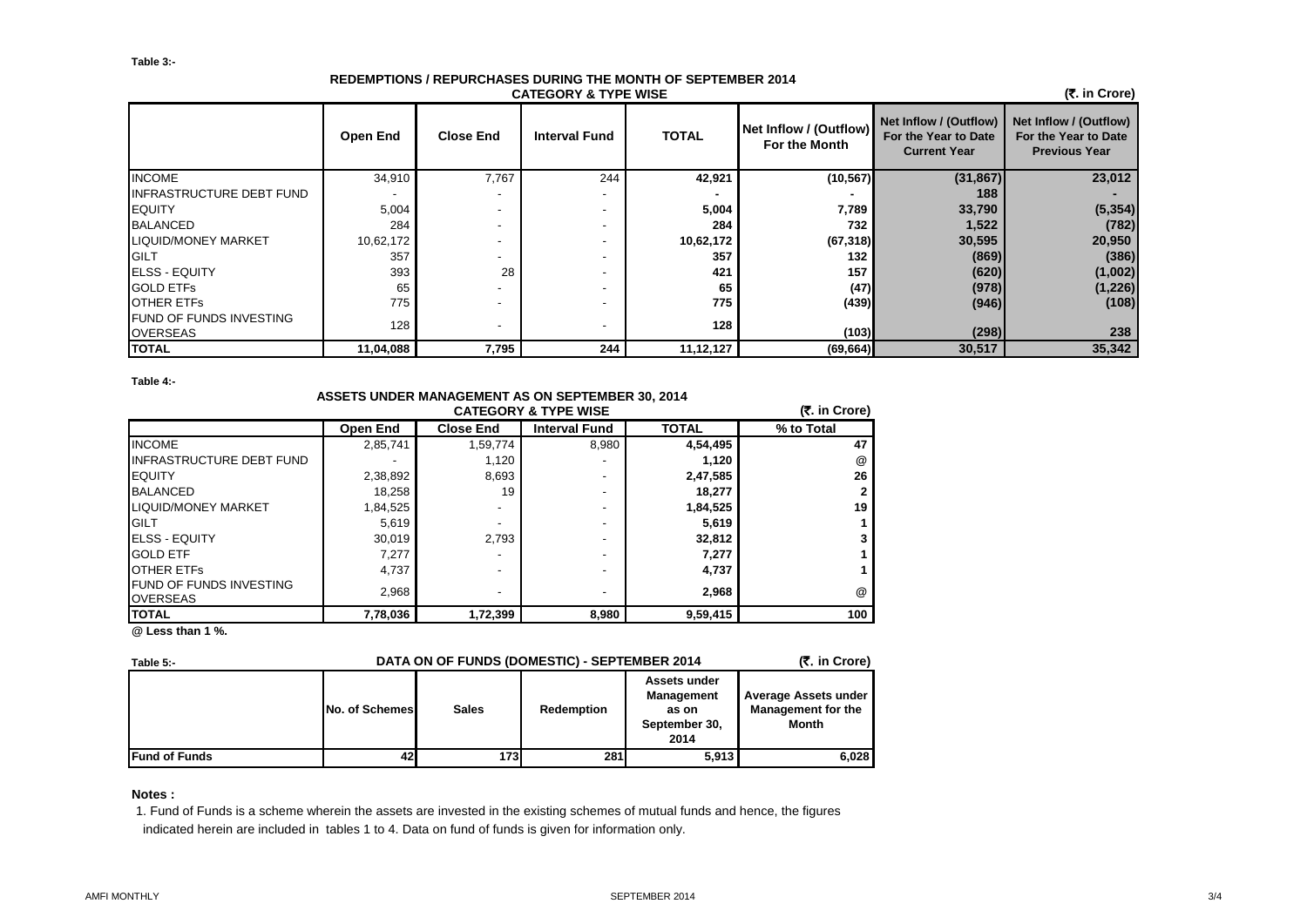# **REDEMPTIONS / REPURCHASES DURING THE MONTH OF SEPTEMBER 2014 CATEGORY & TYPE WISE**

 **(**`**. in Crore)**

|                                            | <b>Open End</b> | <b>Close End</b>         | <b>Interval Fund</b> | <b>TOTAL</b> | Net Inflow / (Outflow)<br>For the Month | Net Inflow / (Outflow)<br>For the Year to Date<br><b>Current Year</b> | Net Inflow / (Outflow)<br>For the Year to Date<br><b>Previous Year</b> |
|--------------------------------------------|-----------------|--------------------------|----------------------|--------------|-----------------------------------------|-----------------------------------------------------------------------|------------------------------------------------------------------------|
| <b>INCOME</b>                              | 34,910          | 7,767                    | 244                  | 42,921       | (10, 567)                               | (31, 867)                                                             | 23,012                                                                 |
| <b>INFRASTRUCTURE DEBT FUND</b>            |                 |                          |                      |              |                                         | 188                                                                   |                                                                        |
| <b>IEQUITY</b>                             | 5,004           |                          |                      | 5,004        | 7,789                                   | 33,790                                                                | (5, 354)                                                               |
| <b>BALANCED</b>                            | 284             |                          |                      | 284          | 732                                     | 1,522                                                                 | (782)                                                                  |
| <b>LIQUID/MONEY MARKET</b>                 | 10,62,172       |                          |                      | 10,62,172    | (67, 318)                               | 30,595                                                                | 20,950                                                                 |
| GILT                                       | 357             |                          |                      | 357          | 132                                     | (869)                                                                 | (386)                                                                  |
| <b>ELSS - EQUITY</b>                       | 393             | 28                       |                      | 421          | 157                                     | (620)                                                                 | (1,002)                                                                |
| <b>GOLD ETFS</b>                           | 65              |                          |                      | 65           | (47)                                    | (978)                                                                 | (1, 226)                                                               |
| <b>OTHER ETFS</b>                          | 775             |                          |                      | 775          | (439)                                   | (946)                                                                 | (108)                                                                  |
| FUND OF FUNDS INVESTING<br><b>OVERSEAS</b> | 128             | $\overline{\phantom{a}}$ |                      | 128          | (103)                                   | (298)                                                                 | 238                                                                    |
| <b>TOTAL</b>                               | 11,04,088       | 7,795                    | 244                  | 11,12,127    | (69, 664)                               | 30,517                                                                | 35,342                                                                 |

**Table 4:-**

| <b>ASSETS UNDER MANAGEMENT AS ON SEPTEMBER 30, 2014</b> |                 |                  |                                 |              |               |  |  |  |
|---------------------------------------------------------|-----------------|------------------|---------------------------------|--------------|---------------|--|--|--|
|                                                         |                 |                  | <b>CATEGORY &amp; TYPE WISE</b> |              | (₹. in Crore) |  |  |  |
|                                                         | <b>Open End</b> | <b>Close End</b> | <b>Interval Fund</b>            | <b>TOTAL</b> | % to Total    |  |  |  |
| <b>INCOME</b>                                           | 2,85,741        | 1,59,774         | 8,980                           | 4,54,495     | 47            |  |  |  |
| <b>INFRASTRUCTURE DEBT FUND</b>                         |                 | 1,120            |                                 | 1,120        | @             |  |  |  |
| <b>EQUITY</b>                                           | 2,38,892        | 8,693            |                                 | 2,47,585     | 26            |  |  |  |
| <b>BALANCED</b>                                         | 18,258          | 19               |                                 | 18,277       |               |  |  |  |
| <b>LIQUID/MONEY MARKET</b>                              | 1,84,525        |                  |                                 | 1,84,525     | 19            |  |  |  |
| <b>GILT</b>                                             | 5,619           |                  |                                 | 5,619        |               |  |  |  |
| <b>ELSS - EQUITY</b>                                    | 30,019          | 2.793            |                                 | 32,812       |               |  |  |  |
| <b>GOLD ETF</b>                                         | 7,277           |                  |                                 | 7,277        |               |  |  |  |
| <b>OTHER ETFS</b>                                       | 4,737           |                  |                                 | 4,737        |               |  |  |  |
| FUND OF FUNDS INVESTING<br><b>OVERSEAS</b>              | 2,968           |                  |                                 | 2.968        | @             |  |  |  |
| <b>TOTAL</b>                                            | 7,78,036        | 1,72,399         | 8,980                           | 9,59,415     | 100           |  |  |  |

**@ Less than 1 %.**

| Table 5:-            | DATA ON OF FUNDS (DOMESTIC) - SEPTEMBER 2014 | (₹. in Crore) |            |                                                              |                                                                   |
|----------------------|----------------------------------------------|---------------|------------|--------------------------------------------------------------|-------------------------------------------------------------------|
|                      | <b>No. of Schemes</b>                        | <b>Sales</b>  | Redemption | Assets under<br>Management<br>as on<br>September 30,<br>2014 | Average Assets under<br><b>Management for the</b><br><b>Month</b> |
| <b>Fund of Funds</b> | 42                                           | 1731          | <b>281</b> | 5,913                                                        | 6,028                                                             |

**Notes :**

1. Fund of Funds is a scheme wherein the assets are invested in the existing schemes of mutual funds and hence, the figures indicated herein are included in tables 1 to 4. Data on fund of funds is given for information only.